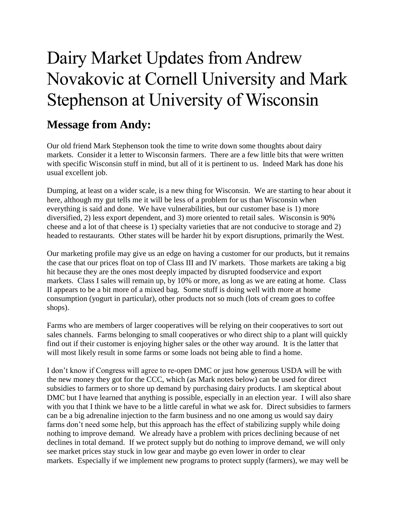# Dairy Market Updates from Andrew Novakovic at Cornell University and Mark Stephenson at University of Wisconsin

# **Message from Andy:**

Our old friend Mark Stephenson took the time to write down some thoughts about dairy markets. Consider it a letter to Wisconsin farmers. There are a few little bits that were written with specific Wisconsin stuff in mind, but all of it is pertinent to us. Indeed Mark has done his usual excellent job.

Dumping, at least on a wider scale, is a new thing for Wisconsin. We are starting to hear about it here, although my gut tells me it will be less of a problem for us than Wisconsin when everything is said and done. We have vulnerabilities, but our customer base is 1) more diversified, 2) less export dependent, and 3) more oriented to retail sales. Wisconsin is 90% cheese and a lot of that cheese is 1) specialty varieties that are not conducive to storage and 2) headed to restaurants. Other states will be harder hit by export disruptions, primarily the West.

Our marketing profile may give us an edge on having a customer for our products, but it remains the case that our prices float on top of Class III and IV markets. Those markets are taking a big hit because they are the ones most deeply impacted by disrupted foodservice and export markets. Class I sales will remain up, by 10% or more, as long as we are eating at home. Class II appears to be a bit more of a mixed bag. Some stuff is doing well with more at home consumption (yogurt in particular), other products not so much (lots of cream goes to coffee shops).

Farms who are members of larger cooperatives will be relying on their cooperatives to sort out sales channels. Farms belonging to small cooperatives or who direct ship to a plant will quickly find out if their customer is enjoying higher sales or the other way around. It is the latter that will most likely result in some farms or some loads not being able to find a home.

I don't know if Congress will agree to re-open DMC or just how generous USDA will be with the new money they got for the CCC, which (as Mark notes below) can be used for direct subsidies to farmers or to shore up demand by purchasing dairy products. I am skeptical about DMC but I have learned that anything is possible, especially in an election year. I will also share with you that I think we have to be a little careful in what we ask for. Direct subsidies to farmers can be a big adrenaline injection to the farm business and no one among us would say dairy farms don't need some help, but this approach has the effect of stabilizing supply while doing nothing to improve demand. We already have a problem with prices declining because of net declines in total demand. If we protect supply but do nothing to improve demand, we will only see market prices stay stuck in low gear and maybe go even lower in order to clear markets. Especially if we implement new programs to protect supply (farmers), we may well be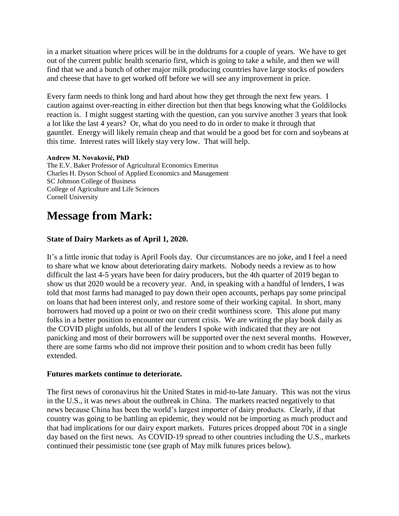in a market situation where prices will be in the doldrums for a couple of years. We have to get out of the current public health scenario first, which is going to take a while, and then we will find that we and a bunch of other major milk producing countries have large stocks of powders and cheese that have to get worked off before we will see any improvement in price.

Every farm needs to think long and hard about how they get through the next few years. I caution against over-reacting in either direction but then that begs knowing what the Goldilocks reaction is. I might suggest starting with the question, can you survive another 3 years that look a lot like the last 4 years? Or, what do you need to do in order to make it through that gauntlet. Energy will likely remain cheap and that would be a good bet for corn and soybeans at this time. Interest rates will likely stay very low. That will help.

#### **Andrew M. Novaković, PhD**

The E.V. Baker Professor of Agricultural Economics Emeritus Charles H. Dyson School of Applied Economics and Management SC Johnson College of Business College of Agriculture and Life Sciences Cornell University

# **Message from Mark:**

## **State of Dairy Markets as of April 1, 2020.**

It's a little ironic that today is April Fools day. Our circumstances are no joke, and I feel a need to share what we know about deteriorating dairy markets. Nobody needs a review as to how difficult the last 4-5 years have been for dairy producers, but the 4th quarter of 2019 began to show us that 2020 would be a recovery year. And, in speaking with a handful of lenders, I was told that most farms had managed to pay down their open accounts, perhaps pay some principal on loans that had been interest only, and restore some of their working capital. In short, many borrowers had moved up a point or two on their credit worthiness score. This alone put many folks in a better position to encounter our current crisis. We are writing the play book daily as the COVID plight unfolds, but all of the lenders I spoke with indicated that they are not panicking and most of their borrowers will be supported over the next several months. However, there are some farms who did not improve their position and to whom credit has been fully extended.

#### **Futures markets continue to deteriorate.**

The first news of coronavirus hit the United States in mid-to-late January. This was not the virus in the U.S., it was news about the outbreak in China. The markets reacted negatively to that news because China has been the world's largest importer of dairy products. Clearly, if that country was going to be battling an epidemic, they would not be importing as much product and that had implications for our dairy export markets. Futures prices dropped about  $70¢$  in a single day based on the first news. As COVID-19 spread to other countries including the U.S., markets continued their pessimistic tone (see graph of May milk futures prices below).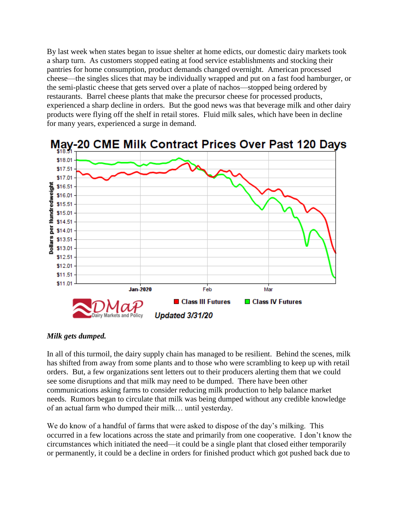By last week when states began to issue shelter at home edicts, our domestic dairy markets took a sharp turn. As customers stopped eating at food service establishments and stocking their pantries for home consumption, product demands changed overnight. American processed cheese—the singles slices that may be individually wrapped and put on a fast food hamburger, or the semi-plastic cheese that gets served over a plate of nachos—stopped being ordered by restaurants. Barrel cheese plants that make the precursor cheese for processed products, experienced a sharp decline in orders. But the good news was that beverage milk and other dairy products were flying off the shelf in retail stores. Fluid milk sales, which have been in decline for many years, experienced a surge in demand.



#### *Milk gets dumped.*

In all of this turmoil, the dairy supply chain has managed to be resilient. Behind the scenes, milk has shifted from away from some plants and to those who were scrambling to keep up with retail orders. But, a few organizations sent letters out to their producers alerting them that we could see some disruptions and that milk may need to be dumped. There have been other communications asking farms to consider reducing milk production to help balance market needs. Rumors began to circulate that milk was being dumped without any credible knowledge of an actual farm who dumped their milk… until yesterday.

We do know of a handful of farms that were asked to dispose of the day's milking. This occurred in a few locations across the state and primarily from one cooperative. I don't know the circumstances which initiated the need—it could be a single plant that closed either temporarily or permanently, it could be a decline in orders for finished product which got pushed back due to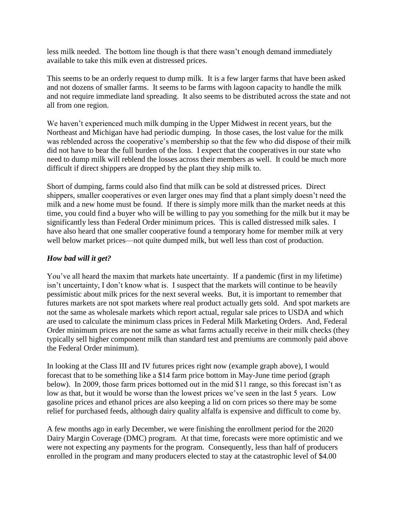less milk needed. The bottom line though is that there wasn't enough demand immediately available to take this milk even at distressed prices.

This seems to be an orderly request to dump milk. It is a few larger farms that have been asked and not dozens of smaller farms. It seems to be farms with lagoon capacity to handle the milk and not require immediate land spreading. It also seems to be distributed across the state and not all from one region.

We haven't experienced much milk dumping in the Upper Midwest in recent years, but the Northeast and Michigan have had periodic dumping. In those cases, the lost value for the milk was reblended across the cooperative's membership so that the few who did dispose of their milk did not have to bear the full burden of the loss. I expect that the cooperatives in our state who need to dump milk will reblend the losses across their members as well. It could be much more difficult if direct shippers are dropped by the plant they ship milk to.

Short of dumping, farms could also find that milk can be sold at distressed prices. Direct shippers, smaller cooperatives or even larger ones may find that a plant simply doesn't need the milk and a new home must be found. If there is simply more milk than the market needs at this time, you could find a buyer who will be willing to pay you something for the milk but it may be significantly less than Federal Order minimum prices. This is called distressed milk sales. I have also heard that one smaller cooperative found a temporary home for member milk at very well below market prices—not quite dumped milk, but well less than cost of production.

### *How bad will it get?*

You've all heard the maxim that markets hate uncertainty. If a pandemic (first in my lifetime) isn't uncertainty, I don't know what is. I suspect that the markets will continue to be heavily pessimistic about milk prices for the next several weeks. But, it is important to remember that futures markets are not spot markets where real product actually gets sold. And spot markets are not the same as wholesale markets which report actual, regular sale prices to USDA and which are used to calculate the minimum class prices in Federal Milk Marketing Orders. And, Federal Order minimum prices are not the same as what farms actually receive in their milk checks (they typically sell higher component milk than standard test and premiums are commonly paid above the Federal Order minimum).

In looking at the Class III and IV futures prices right now (example graph above), I would forecast that to be something like a \$14 farm price bottom in May-June time period (graph below). In 2009, those farm prices bottomed out in the mid \$11 range, so this forecast isn't as low as that, but it would be worse than the lowest prices we've seen in the last 5 years. Low gasoline prices and ethanol prices are also keeping a lid on corn prices so there may be some relief for purchased feeds, although dairy quality alfalfa is expensive and difficult to come by.

A few months ago in early December, we were finishing the enrollment period for the 2020 Dairy Margin Coverage (DMC) program. At that time, forecasts were more optimistic and we were not expecting any payments for the program. Consequently, less than half of producers enrolled in the program and many producers elected to stay at the catastrophic level of \$4.00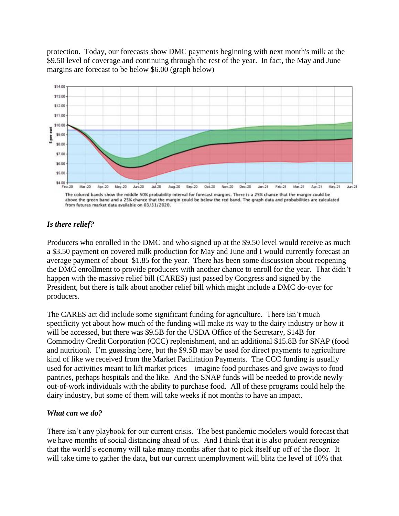protection. Today, our forecasts show DMC payments beginning with next month's milk at the \$9.50 level of coverage and continuing through the rest of the year. In fact, the May and June margins are forecast to be below \$6.00 (graph below)



from futures market data available on 03/31/2020.

#### *Is there relief?*

Producers who enrolled in the DMC and who signed up at the \$9.50 level would receive as much a \$3.50 payment on covered milk production for May and June and I would currently forecast an average payment of about \$1.85 for the year. There has been some discussion about reopening the DMC enrollment to provide producers with another chance to enroll for the year. That didn't happen with the massive relief bill (CARES) just passed by Congress and signed by the President, but there is talk about another relief bill which might include a DMC do-over for producers.

The CARES act did include some significant funding for agriculture. There isn't much specificity yet about how much of the funding will make its way to the dairy industry or how it will be accessed, but there was \$9.5B for the USDA Office of the Secretary, \$14B for Commodity Credit Corporation (CCC) replenishment, and an additional \$15.8B for SNAP (food and nutrition). I'm guessing here, but the \$9.5B may be used for direct payments to agriculture kind of like we received from the Market Facilitation Payments. The CCC funding is usually used for activities meant to lift market prices—imagine food purchases and give aways to food pantries, perhaps hospitals and the like. And the SNAP funds will be needed to provide newly out-of-work individuals with the ability to purchase food. All of these programs could help the dairy industry, but some of them will take weeks if not months to have an impact.

#### *What can we do?*

There isn't any playbook for our current crisis. The best pandemic modelers would forecast that we have months of social distancing ahead of us. And I think that it is also prudent recognize that the world's economy will take many months after that to pick itself up off of the floor. It will take time to gather the data, but our current unemployment will blitz the level of 10% that